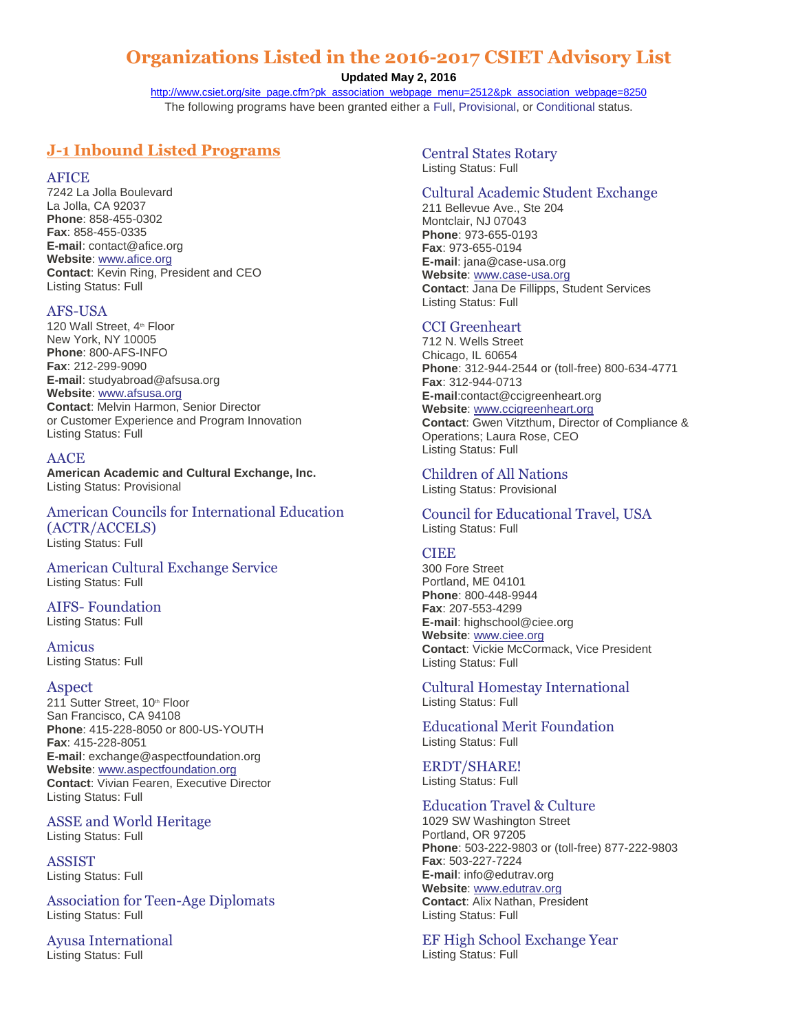# **Organizations Listed in the 2016-2017 CSIET Advisory List**

**Updated May 2, 2016**

[http://www.csiet.org/site\\_page.cfm?pk\\_association\\_webpage\\_menu=2512&pk\\_association\\_webpage=8250](http://www.csiet.org/site_page.cfm?pk_association_webpage_menu=2512&pk_association_webpage=8250) The following programs have been granted either a [Full,](http://www.csiet.org/site_page.cfm?pk_association_webpage_menu=2512&pk_association_webpage=6355) [Provisional,](http://www.csiet.org/site_page.cfm?pk_association_webpage_menu=2512&pk_association_webpage=6355) or [Conditional](http://www.csiet.org/site_page.cfm?pk_association_webpage_menu=2512&pk_association_webpage=6355) status.

# **J-1 Inbound Listed Programs**

AFICE

7242 La Jolla Boulevard La Jolla, CA 92037 **Phone**: 858-455-0302 **Fax**: 858-455-0335 **E-mail**: contact@afice.org **Website**: [www.afice.org](http://www.afice.org/) **Contact**: Kevin Ring, President and CEO Listing Status: Full

# AFS-USA

120 Wall Street, 4<sup>th</sup> Floor New York, NY 10005 **Phone**: 800-AFS-INFO **Fax**: 212-299-9090 **E-mail**: studyabroad@afsusa.org **Website**: [www.afsusa.org](http://www.afsusa.org/) **Contact**: Melvin Harmon, Senior Director or Customer Experience and Program Innovation Listing Status: Full

# AACE

**American Academic and Cultural Exchange, Inc.**  Listing Status: Provisional

American Councils for International Education (ACTR/ACCELS) Listing Status: Full

American Cultural Exchange Service Listing Status: Full

# AIFS- Foundation

Listing Status: Full

Amicus Listing Status: Full

## Aspect

211 Sutter Street, 10<sup>th</sup> Floor San Francisco, CA 94108 **Phone**: 415-228-8050 or 800-US-YOUTH **Fax**: 415-228-8051 **E-mail**: exchange@aspectfoundation.org **Website**: [www.aspectfoundation.org](http://www.aspectfoundation.org/) **Contact**: Vivian Fearen, Executive Director Listing Status: Full

ASSE and World Heritage Listing Status: Full

ASSIST Listing Status: Full

Association for Teen-Age Diplomats Listing Status: Full

Ayusa International Listing Status: Full

Central States Rotary Listing Status: Full

# Cultural Academic Student Exchange

211 Bellevue Ave., Ste 204 Montclair, NJ 07043 **Phone**: 973-655-0193 **Fax**: 973-655-0194 **E-mail**: jana@case-usa.org **Website**: [www.case-usa.org](http://www.case-usa.org/) **Contact**: Jana De Fillipps, Student Services Listing Status: Full

# CCI Greenheart

712 N. Wells Street Chicago, IL 60654 **Phone**: 312-944-2544 or (toll-free) 800-634-4771 **Fax**: 312-944-0713 **E-mail**:contact@ccigreenheart.org **Website**: [www.ccigreenheart.org](http://www.ccigreenheart.org/) **Contact**: Gwen Vitzthum, Director of Compliance & Operations; Laura Rose, CEO Listing Status: Full

Children of All Nations

Listing Status: Provisional

Council for Educational Travel, USA Listing Status: Full

# **CIEE**

300 Fore Street Portland, ME 04101 **Phone**: 800-448-9944 **Fax**: 207-553-4299 **E-mail**: highschool@ciee.org **Website**: [www.ciee.org](http://www.ciee.org/) **Contact**: Vickie McCormack, Vice President Listing Status: Full

Cultural Homestay International Listing Status: Full

Educational Merit Foundation Listing Status: Full

ERDT/SHARE! Listing Status: Full

# Education Travel & Culture

1029 SW Washington Street Portland, OR 97205 **Phone**: 503-222-9803 or (toll-free) 877-222-9803 **Fax**: 503-227-7224 **E-mail**: info@edutrav.org **Website**: [www.edutrav.org](http://www.edutrav.org/) **Contact**: Alix Nathan, President Listing Status: Full

EF High School Exchange Year Listing Status: Full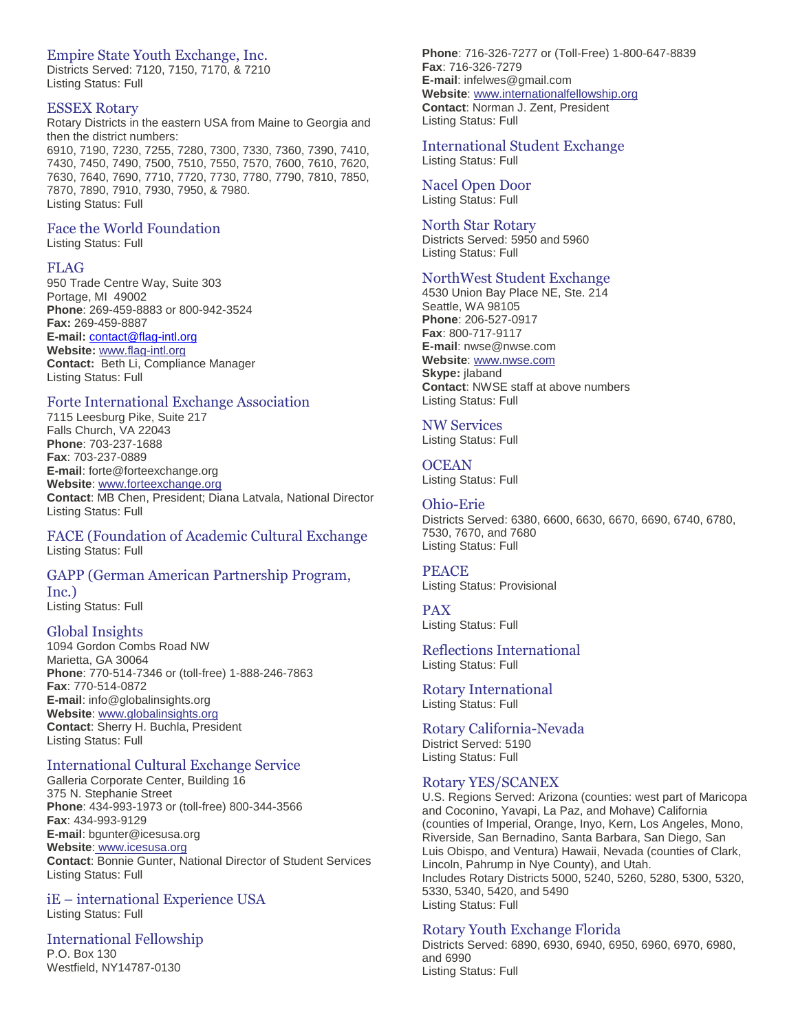# Empire State Youth Exchange, Inc.

Districts Served: 7120, 7150, 7170, & 7210 Listing Status: Full

#### ESSEX Rotary

Rotary Districts in the eastern USA from Maine to Georgia and then the district numbers: 6910, 7190, 7230, 7255, 7280, 7300, 7330, 7360, 7390, 7410, 7430, 7450, 7490, 7500, 7510, 7550, 7570, 7600, 7610, 7620, 7630, 7640, 7690, 7710, 7720, 7730, 7780, 7790, 7810, 7850, 7870, 7890, 7910, 7930, 7950, & 7980. Listing Status: Full

# Face the World Foundation

Listing Status: Full

#### FLAG

950 Trade Centre Way, Suite 303 Portage, MI 49002 **Phone**: 269-459-8883 or 800-942-3524 **Fax:** 269-459-8887 **E-mail:** [contact@flag-intl.org](mailto:contact@flag-intl.org) **Website:** [www.flag-intl.org](http://www.flag-intl.org/) **Contact:** Beth Li, Compliance Manager Listing Status: Full

#### Forte International Exchange Association

7115 Leesburg Pike, Suite 217 Falls Church, VA 22043 **Phone**: 703-237-1688 **Fax**: 703-237-0889 **E-mail**: forte@forteexchange.org **Website**: [www.forteexchange.org](http://www.forteexchange.org/) **Contact**: MB Chen, President; Diana Latvala, National Director Listing Status: Full

FACE (Foundation of Academic Cultural Exchange Listing Status: Full

#### GAPP (German American Partnership Program, Inc.)

Listing Status: Full

#### Global Insights

1094 Gordon Combs Road NW Marietta, GA 30064 **Phone**: 770-514-7346 or (toll-free) 1-888-246-7863 **Fax**: 770-514-0872 **E-mail**: info@globalinsights.org **Website**: [www.globalinsights.org](http://www.globalinsights.org/) **Contact**: Sherry H. Buchla, President Listing Status: Full

# International Cultural Exchange Service

Galleria Corporate Center, Building 16 375 N. Stephanie Street **Phone**: 434-993-1973 or (toll-free) 800-344-3566 **Fax**: 434-993-9129 **E-mail**: bgunter@icesusa.org **Website**: [www.icesusa.org](http://www.icesusa.org/) **Contact**: Bonnie Gunter, National Director of Student Services Listing Status: Full

# iE – international Experience USA

Listing Status: Full

#### International Fellowship

P.O. Box 130 Westfield, NY14787-0130 **Phone**: 716-326-7277 or (Toll-Free) 1-800-647-8839 **Fax**: 716-326-7279 **E-mail**: infelwes@gmail.com **Website**: [www.internationalfellowship.org](http://www.internationalfellowship.org/) **Contact**: Norman J. Zent, President Listing Status: Full

# International Student Exchange

Listing Status: Full

Nacel Open Door Listing Status: Full

#### North Star Rotary

Districts Served: 5950 and 5960 Listing Status: Full

# NorthWest Student Exchange

4530 Union Bay Place NE, Ste. 214 Seattle, WA 98105 **Phone**: 206-527-0917 **Fax**: 800-717-9117 **E-mail**: nwse@nwse.com **Website**: [www.nwse.com](http://www.nwse.com/) **Skype:** jlaband **Contact**: NWSE staff at above numbers Listing Status: Full

# NW Services

Listing Status: Full

# **OCEAN**

Listing Status: Full

#### Ohio-Erie

Districts Served: 6380, 6600, 6630, 6670, 6690, 6740, 6780, 7530, 7670, and 7680 Listing Status: Full

#### PEACE

Listing Status: Provisional

#### PAX

Listing Status: Full

#### Reflections International Listing Status: Full

Rotary International Listing Status: Full

Rotary California-Nevada District Served: 5190 Listing Status: Full

#### Rotary YES/SCANEX

U.S. Regions Served: Arizona (counties: west part of Maricopa and Coconino, Yavapi, La Paz, and Mohave) California (counties of Imperial, Orange, Inyo, Kern, Los Angeles, Mono, Riverside, San Bernadino, Santa Barbara, San Diego, San Luis Obispo, and Ventura) Hawaii, Nevada (counties of Clark, Lincoln, Pahrump in Nye County), and Utah. Includes Rotary Districts 5000, 5240, 5260, 5280, 5300, 5320, 5330, 5340, 5420, and 5490 Listing Status: Full

#### Rotary Youth Exchange Florida

Districts Served: 6890, 6930, 6940, 6950, 6960, 6970, 6980, and 6990 Listing Status: Full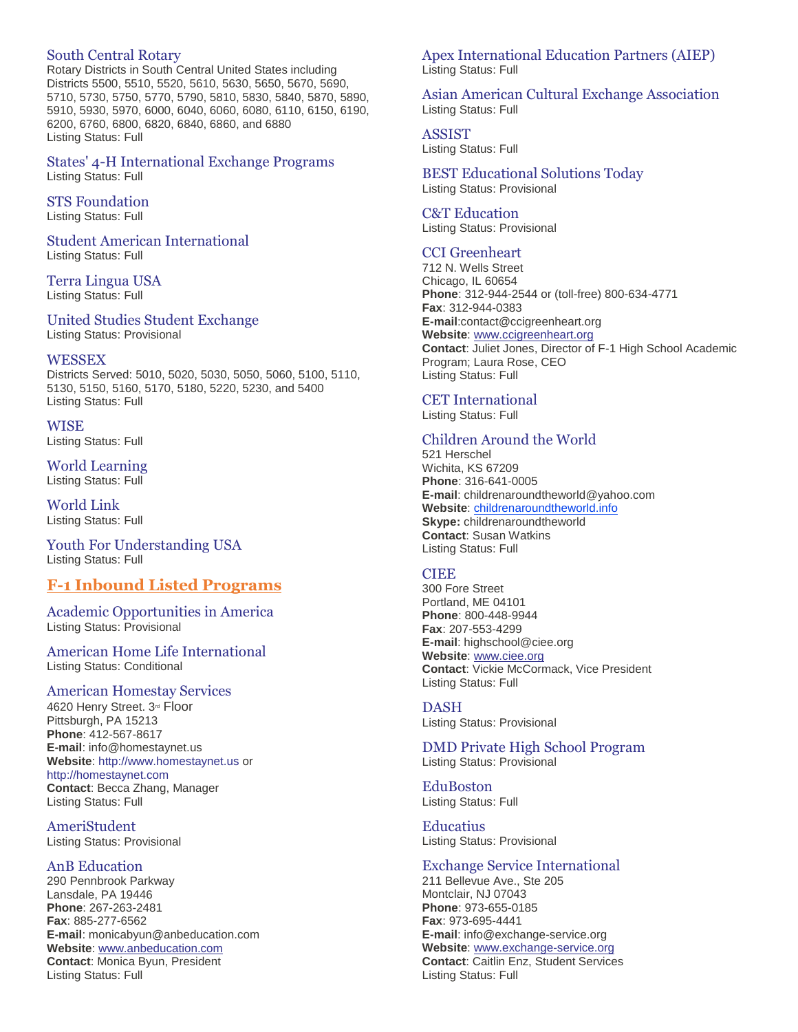# South Central Rotary

Rotary Districts in South Central United States including Districts 5500, 5510, 5520, 5610, 5630, 5650, 5670, 5690, 5710, 5730, 5750, 5770, 5790, 5810, 5830, 5840, 5870, 5890, 5910, 5930, 5970, 6000, 6040, 6060, 6080, 6110, 6150, 6190, 6200, 6760, 6800, 6820, 6840, 6860, and 6880 Listing Status: Full

States' 4-H International Exchange Programs Listing Status: Full

## STS Foundation

Listing Status: Full

Student American International Listing Status: Full

#### Terra Lingua USA Listing Status: Full

United Studies Student Exchange

Listing Status: Provisional

#### WESSEX

Districts Served: 5010, 5020, 5030, 5050, 5060, 5100, 5110, 5130, 5150, 5160, 5170, 5180, 5220, 5230, and 5400 Listing Status: Full

**WISE** Listing Status: Full

World Learning Listing Status: Full

World Link Listing Status: Full

Youth For Understanding USA Listing Status: Full

# **F-1 Inbound Listed Programs**

Academic Opportunities in America Listing Status: Provisional

American Home Life International Listing Status: Conditional

#### American Homestay Services

4620 Henry Street. 3<sup>rd</sup> Floor Pittsburgh, PA 15213 **Phone**: 412-567-8617 **E-mail**: info@homestaynet.us **Website**: [http://www.homestaynet.us](http://www.anbeducation.com/) or [http://homestaynet.com](http://homestaynet.com/) **Contact**: Becca Zhang, Manager Listing Status: Full

AmeriStudent Listing Status: Provisional

## AnB Education

290 Pennbrook Parkway Lansdale, PA 19446 **Phone**: 267-263-2481 **Fax**: 885-277-6562 **E-mail**: monicabyun@anbeducation.com **Website**: [www.anbeducation.com](http://www.anbeducation.com/) **Contact**: Monica Byun, President Listing Status: Full

# Apex International Education Partners (AIEP) Listing Status: Full

Asian American Cultural Exchange Association Listing Status: Full

ASSIST Listing Status: Full

#### BEST Educational Solutions Today Listing Status: Provisional

C&T Education Listing Status: Provisional

# CCI Greenheart

712 N. Wells Street Chicago, IL 60654 **Phone**: 312-944-2544 or (toll-free) 800-634-4771 **Fax**: 312-944-0383 **E-mail**:contact@ccigreenheart.org **Website**: [www.ccigreenheart.org](http://www.ccigreenheart.org/) **Contact**: Juliet Jones, Director of F-1 High School Academic Program; Laura Rose, CEO Listing Status: Full

CET International Listing Status: Full

# Children Around the World

521 Herschel Wichita, KS 67209 **Phone**: 316-641-0005 **E-mail**: childrenaroundtheworld@yahoo.com Website: [childrenaroundtheworld.info](http://www.studentambassadorexchange.org/) **Skype:** childrenaroundtheworld **Contact**: Susan Watkins Listing Status: Full

## **CIEE**

300 Fore Street Portland, ME 04101 **Phone**: 800-448-9944 **Fax**: 207-553-4299 **E-mail**: highschool@ciee.org **Website**: [www.ciee.org](http://www.ciee.org/) **Contact**: Vickie McCormack, Vice President Listing Status: Full

## DASH

Listing Status: Provisional

DMD Private High School Program Listing Status: Provisional

EduBoston Listing Status: Full

**Educatius** Listing Status: Provisional

## Exchange Service International

211 Bellevue Ave., Ste 205 Montclair, NJ 07043 **Phone**: 973-655-0185 **Fax**: 973-695-4441 **E-mail**: info@exchange-service.org **Website**: [www.exchange-service.org](http://www.exchange-service.org/) **Contact**: Caitlin Enz, Student Services Listing Status: Full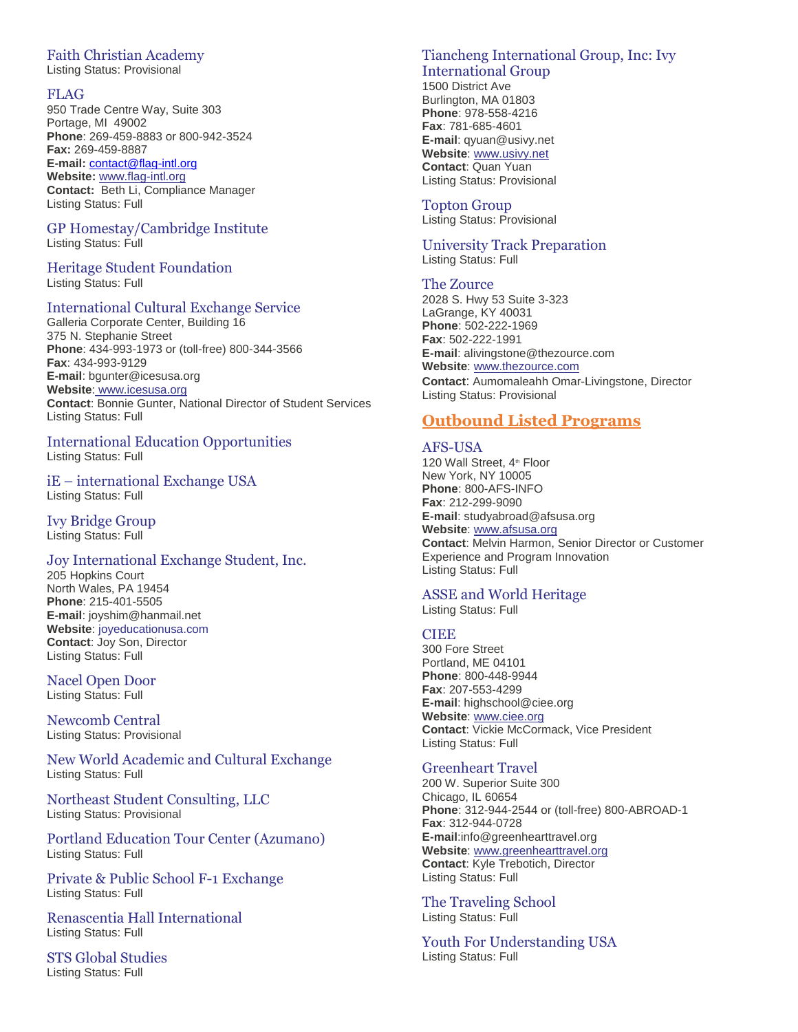# Faith Christian Academy

Listing Status: Provisional

# FLAG

950 Trade Centre Way, Suite 303 Portage, MI 49002 **Phone**: 269-459-8883 or 800-942-3524 **Fax:** 269-459-8887 **E-mail:** [contact@flag-intl.org](mailto:contact@flag-intl.org) **Website:** [www.flag-intl.org](http://www.flag-intl.org/) **Contact:** Beth Li, Compliance Manager Listing Status: Full

## GP Homestay/Cambridge Institute Listing Status: Full

# Heritage Student Foundation

Listing Status: Full

# International Cultural Exchange Service

Galleria Corporate Center, Building 16 375 N. Stephanie Street **Phone**: 434-993-1973 or (toll-free) 800-344-3566 **Fax**: 434-993-9129 **E-mail**: bgunter@icesusa.org **Website**: [www.icesusa.org](http://www.icesusa.org/) **Contact**: Bonnie Gunter, National Director of Student Services Listing Status: Full

# International Education Opportunities

Listing Status: Full

iE – international Exchange USA Listing Status: Full

Ivy Bridge Group Listing Status: Full

## Joy International Exchange Student, Inc.

205 Hopkins Court North Wales, PA 19454 **Phone**: 215-401-5505 **E-mail**: joyshim@hanmail.net **Website**: [joyeducationusa.com](http://www.case-usa.org/) **Contact**: Joy Son, Director Listing Status: Full

Nacel Open Door Listing Status: Full

Newcomb Central Listing Status: Provisional

New World Academic and Cultural Exchange Listing Status: Full

Northeast Student Consulting, LLC Listing Status: Provisional

Portland Education Tour Center (Azumano) Listing Status: Full

Private & Public School F-1 Exchange Listing Status: Full

Renascentia Hall International Listing Status: Full

STS Global Studies Listing Status: Full

# Tiancheng International Group, Inc: Ivy International Group

1500 District Ave Burlington, MA 01803 **Phone**: 978-558-4216 **Fax**: 781-685-4601 **E-mail**: qyuan@usivy.net **Website**: [www.usivy.net](http://www.usivy.net/) **Contact**: Quan Yuan Listing Status: Provisional

# Topton Group

Listing Status: Provisional

#### University Track Preparation Listing Status: Full

The Zource

2028 S. Hwy 53 Suite 3-323 LaGrange, KY 40031 **Phone**: 502-222-1969 **Fax**: 502-222-1991 **E-mail**: alivingstone@thezource.com **Website**: [www.thezource.com](http://www.thezource.com/) **Contact**: Aumomaleahh Omar-Livingstone, Director Listing Status: Provisional

# **Outbound Listed Programs**

## AFS-USA

120 Wall Street, 4<sup>th</sup> Floor New York, NY 10005 **Phone**: 800-AFS-INFO **Fax**: 212-299-9090 **E-mail**: studyabroad@afsusa.org **Website**: [www.afsusa.org](http://www.afsusa.org/) **Contact**: Melvin Harmon, Senior Director or Customer Experience and Program Innovation Listing Status: Full

# ASSE and World Heritage

Listing Status: Full

## CIEE

300 Fore Street Portland, ME 04101 **Phone**: 800-448-9944 **Fax**: 207-553-4299 **E-mail**: highschool@ciee.org **Website**: [www.ciee.org](http://www.ciee.org/) **Contact**: Vickie McCormack, Vice President Listing Status: Full

## Greenheart Travel

200 W. Superior Suite 300 Chicago, IL 60654 **Phone**: 312-944-2544 or (toll-free) 800-ABROAD-1 **Fax**: 312-944-0728 **E-mail**:info@greenhearttravel.org **Website**: [www.greenhearttravel.org](http://www.greenhearttravel.org/) **Contact**: Kyle Trebotich, Director Listing Status: Full

The Traveling School Listing Status: Full

Youth For Understanding USA Listing Status: Full